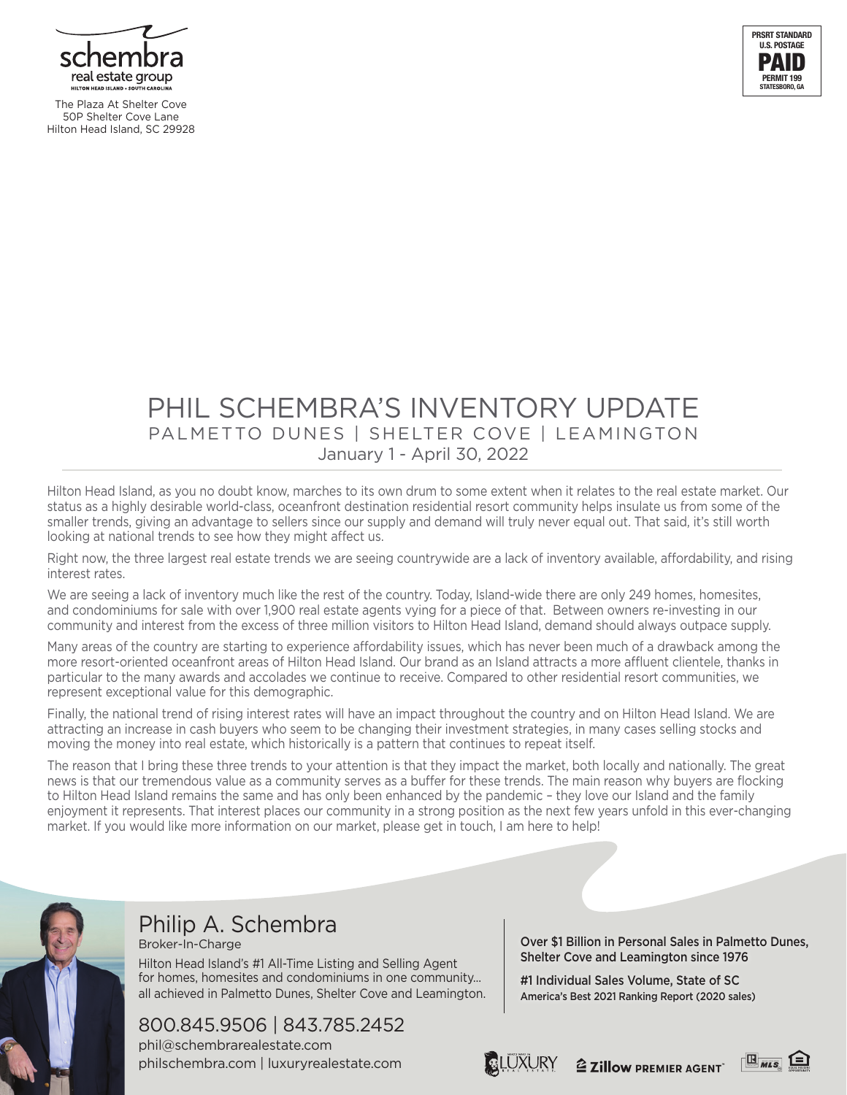

The Plaza At Shelter Cove 50P Shelter Cove Lane Hilton Head Island, SC 29928



# PHIL SCHEMBRA'S INVENTORY UPDATE PALMETTO DUNES | SHELTER COVE | LEAMINGTON January 1 - April 30, 2022

Hilton Head Island, as you no doubt know, marches to its own drum to some extent when it relates to the real estate market. Our status as a highly desirable world-class, oceanfront destination residential resort community helps insulate us from some of the smaller trends, giving an advantage to sellers since our supply and demand will truly never equal out. That said, it's still worth looking at national trends to see how they might affect us.

Right now, the three largest real estate trends we are seeing countrywide are a lack of inventory available, affordability, and rising interest rates.

We are seeing a lack of inventory much like the rest of the country. Today, Island-wide there are only 249 homes, homesites, and condominiums for sale with over 1,900 real estate agents vying for a piece of that. Between owners re-investing in our community and interest from the excess of three million visitors to Hilton Head Island, demand should always outpace supply.

Many areas of the country are starting to experience affordability issues, which has never been much of a drawback among the more resort-oriented oceanfront areas of Hilton Head Island. Our brand as an Island attracts a more affluent clientele, thanks in particular to the many awards and accolades we continue to receive. Compared to other residential resort communities, we represent exceptional value for this demographic.

Finally, the national trend of rising interest rates will have an impact throughout the country and on Hilton Head Island. We are attracting an increase in cash buyers who seem to be changing their investment strategies, in many cases selling stocks and moving the money into real estate, which historically is a pattern that continues to repeat itself.

The reason that I bring these three trends to your attention is that they impact the market, both locally and nationally. The great news is that our tremendous value as a community serves as a buffer for these trends. The main reason why buyers are flocking to Hilton Head Island remains the same and has only been enhanced by the pandemic – they love our Island and the family enjoyment it represents. That interest places our community in a strong position as the next few years unfold in this ever-changing market. If you would like more information on our market, please get in touch, I am here to help!



### Philip A. Schembra Broker-In-Charge

Hilton Head Island's #1 All-Time Listing and Selling Agent for homes, homesites and condominiums in one community... all achieved in Palmetto Dunes, Shelter Cove and Leamington.

## 800.845.9506 | 843.785.2452

phil@schembrarealestate.com philschembra.com | luxuryrealestate.com Over \$1 Billion in Personal Sales in Palmetto Dunes, Shelter Cove and Leamington since 1976

#1 Individual Sales Volume, State of SC America's Best 2021 Ranking Report (2020 sales)





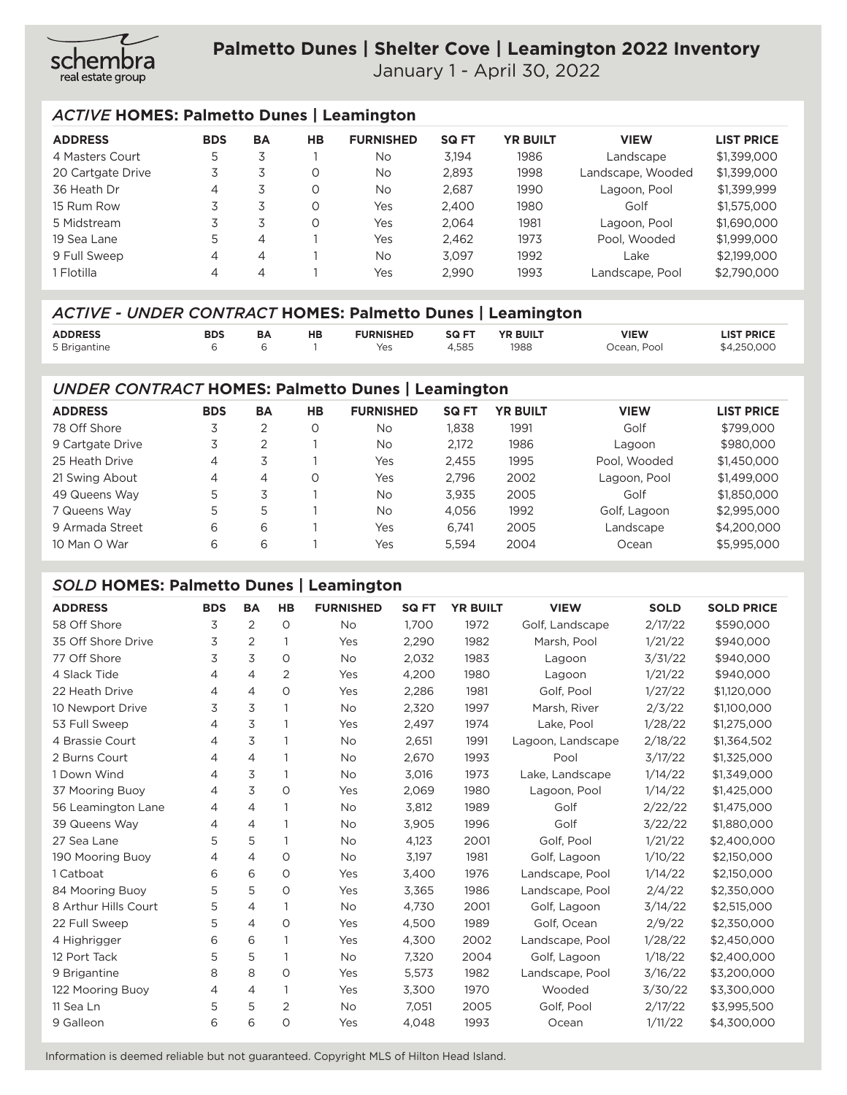# schembra real estate group

# **Palmetto Dunes | Shelter Cove | Leamington 2022 Inventory**

January 1 - April 30, 2022

### *ACTIVE* **HOMES: Palmetto Dunes | Leamington**

| <b>ADDRESS</b>    | <b>BDS</b> | BA | HB | <b>FURNISHED</b> | <b>SQ FT</b> | <b>YR BUILT</b> | <b>VIEW</b>       | <b>LIST PRICE</b> |
|-------------------|------------|----|----|------------------|--------------|-----------------|-------------------|-------------------|
| 4 Masters Court   | 5          |    |    | No               | 3.194        | 1986            | Landscape         | \$1,399,000       |
| 20 Cartgate Drive | 3          |    |    | <b>No</b>        | 2.893        | 1998            | Landscape, Wooded | \$1,399,000       |
| 36 Heath Dr       | 4          |    |    | <b>No</b>        | 2.687        | 1990            | Lagoon, Pool      | \$1,399,999       |
| 15 Rum Row        | 3          |    |    | Yes              | 2.400        | 1980            | Golf              | \$1,575,000       |
| 5 Midstream       | 3          |    |    | Yes              | 2.064        | 1981            | Lagoon, Pool      | \$1,690,000       |
| 19 Sea Lane       | 5          | 4  |    | Yes              | 2.462        | 1973            | Pool. Wooded      | \$1,999,000       |
| 9 Full Sweep      | 4          | 4  |    | <b>No</b>        | 3.097        | 1992            | Lake              | \$2,199,000       |
| 1 Flotilla        | 4          | 4  |    | Yes              | 2.990        | 1993            | Landscape, Pool   | \$2,790,000       |

### *ACTIVE - UNDER CONTRACT* **HOMES: Palmetto Dunes | Leamington**

| <b>ADDRESS</b> | <b>BDS</b> | ΒA | HB | <b>FURNISHED</b> | <b>SQ FT</b> | <b>YR BUILT</b> | VIEW        | <b>LIST PRICE</b> |
|----------------|------------|----|----|------------------|--------------|-----------------|-------------|-------------------|
| 5 Brigantine   |            |    |    | Yes              | 4.585        | 1988            | Ocean. Pool | \$4.250.000       |

### *UNDER CONTRACT* **HOMES: Palmetto Dunes | Leamington**

| <b>ADDRESS</b>   | <b>BDS</b> | <b>BA</b> | HB | <b>FURNISHED</b> | <b>SQ FT</b> | <b>YR BUILT</b> | <b>VIEW</b>  | <b>LIST PRICE</b> |
|------------------|------------|-----------|----|------------------|--------------|-----------------|--------------|-------------------|
| 78 Off Shore     | 3          |           | 0  | No.              | 1.838        | 1991            | Golf         | \$799,000         |
| 9 Cartgate Drive | 3          |           |    | <b>No</b>        | 2.172        | 1986            | Lagoon       | \$980,000         |
| 25 Heath Drive   | 4          |           |    | Yes              | 2.455        | 1995            | Pool. Wooded | \$1,450,000       |
| 21 Swing About   | 4          | 4         | O  | Yes              | 2.796        | 2002            | Lagoon, Pool | \$1,499,000       |
| 49 Queens Way    | 5          |           |    | <b>No</b>        | 3.935        | 2005            | Golf         | \$1,850,000       |
| 7 Queens Way     | 5          | 5         |    | <b>No</b>        | 4.056        | 1992            | Golf, Lagoon | \$2,995,000       |
| 9 Armada Street  | 6          | 6         |    | Yes              | 6.741        | 2005            | Landscape    | \$4,200,000       |
| 10 Man O War     | 6          | 6         |    | Yes              | 5.594        | 2004            | Ocean        | \$5,995,000       |

### *SOLD* **HOMES: Palmetto Dunes | Leamington**

í

| <b>ADDRESS</b>       | <b>BDS</b> | <b>BA</b> | <b>HB</b>      | <b>FURNISHED</b> | <b>SQ FT</b> | <b>YR BUILT</b> | <b>VIEW</b>       | <b>SOLD</b> | <b>SOLD PRICE</b> |
|----------------------|------------|-----------|----------------|------------------|--------------|-----------------|-------------------|-------------|-------------------|
| 58 Off Shore         | 3          | 2         | $\circ$        | <b>No</b>        | 1.700        | 1972            | Golf, Landscape   | 2/17/22     | \$590,000         |
| 35 Off Shore Drive   | 3          | 2         |                | Yes              | 2,290        | 1982            | Marsh, Pool       | 1/21/22     | \$940,000         |
| 77 Off Shore         | 3          | 3         | $\circ$        | <b>No</b>        | 2,032        | 1983            | Lagoon            | 3/31/22     | \$940,000         |
| 4 Slack Tide         | 4          | 4         | 2              | Yes              | 4,200        | 1980            | Lagoon            | 1/21/22     | \$940,000         |
| 22 Heath Drive       | 4          | 4         | O              | Yes              | 2,286        | 1981            | Golf. Pool        | 1/27/22     | \$1,120,000       |
| 10 Newport Drive     | 3          | 3         |                | <b>No</b>        | 2,320        | 1997            | Marsh, River      | 2/3/22      | \$1,100,000       |
| 53 Full Sweep        | 4          | 3         |                | Yes              | 2,497        | 1974            | Lake, Pool        | 1/28/22     | \$1,275,000       |
| 4 Brassie Court      | 4          | 3         |                | No               | 2,651        | 1991            | Lagoon, Landscape | 2/18/22     | \$1,364,502       |
| 2 Burns Court        | 4          | 4         |                | No               | 2,670        | 1993            | Pool              | 3/17/22     | \$1,325,000       |
| 1 Down Wind          | 4          | 3         |                | <b>No</b>        | 3,016        | 1973            | Lake, Landscape   | 1/14/22     | \$1,349,000       |
| 37 Mooring Buoy      | 4          | 3         | O              | Yes              | 2,069        | 1980            | Lagoon, Pool      | 1/14/22     | \$1,425,000       |
| 56 Leamington Lane   | 4          | 4         |                | <b>No</b>        | 3,812        | 1989            | Golf              | 2/22/22     | \$1,475,000       |
| 39 Queens Way        | 4          | 4         |                | No               | 3,905        | 1996            | Golf              | 3/22/22     | \$1,880,000       |
| 27 Sea Lane          | 5          | 5         |                | <b>No</b>        | 4,123        | 2001            | Golf, Pool        | 1/21/22     | \$2,400,000       |
| 190 Mooring Buoy     | 4          | 4         | O              | No               | 3,197        | 1981            | Golf, Lagoon      | 1/10/22     | \$2,150,000       |
| 1 Catboat            | 6          | 6         | O              | Yes              | 3,400        | 1976            | Landscape, Pool   | 1/14/22     | \$2,150,000       |
| 84 Mooring Buoy      | 5          | 5         | O              | Yes              | 3,365        | 1986            | Landscape, Pool   | 2/4/22      | \$2,350,000       |
| 8 Arthur Hills Court | 5          | 4         |                | No               | 4,730        | 2001            | Golf, Lagoon      | 3/14/22     | \$2,515,000       |
| 22 Full Sweep        | 5          | 4         | O              | Yes              | 4,500        | 1989            | Golf, Ocean       | 2/9/22      | \$2,350,000       |
| 4 Highrigger         | 6          | 6         | 1              | Yes              | 4,300        | 2002            | Landscape, Pool   | 1/28/22     | \$2,450,000       |
| 12 Port Tack         | 5          | 5         | 1              | <b>No</b>        | 7,320        | 2004            | Golf, Lagoon      | 1/18/22     | \$2,400,000       |
| 9 Brigantine         | 8          | 8         | O              | Yes              | 5,573        | 1982            | Landscape, Pool   | 3/16/22     | \$3,200,000       |
| 122 Mooring Buoy     | 4          | 4         |                | Yes              | 3.300        | 1970            | Wooded            | 3/30/22     | \$3,300,000       |
| 11 Sea Ln            | 5          | 5         | $\overline{2}$ | <b>No</b>        | 7,051        | 2005            | Golf, Pool        | 2/17/22     | \$3,995,500       |
| 9 Galleon            | 6          | 6         | O              | Yes              | 4,048        | 1993            | Ocean             | 1/11/22     | \$4,300,000       |

Information is deemed reliable but not guaranteed. Copyright MLS of Hilton Head Island.

l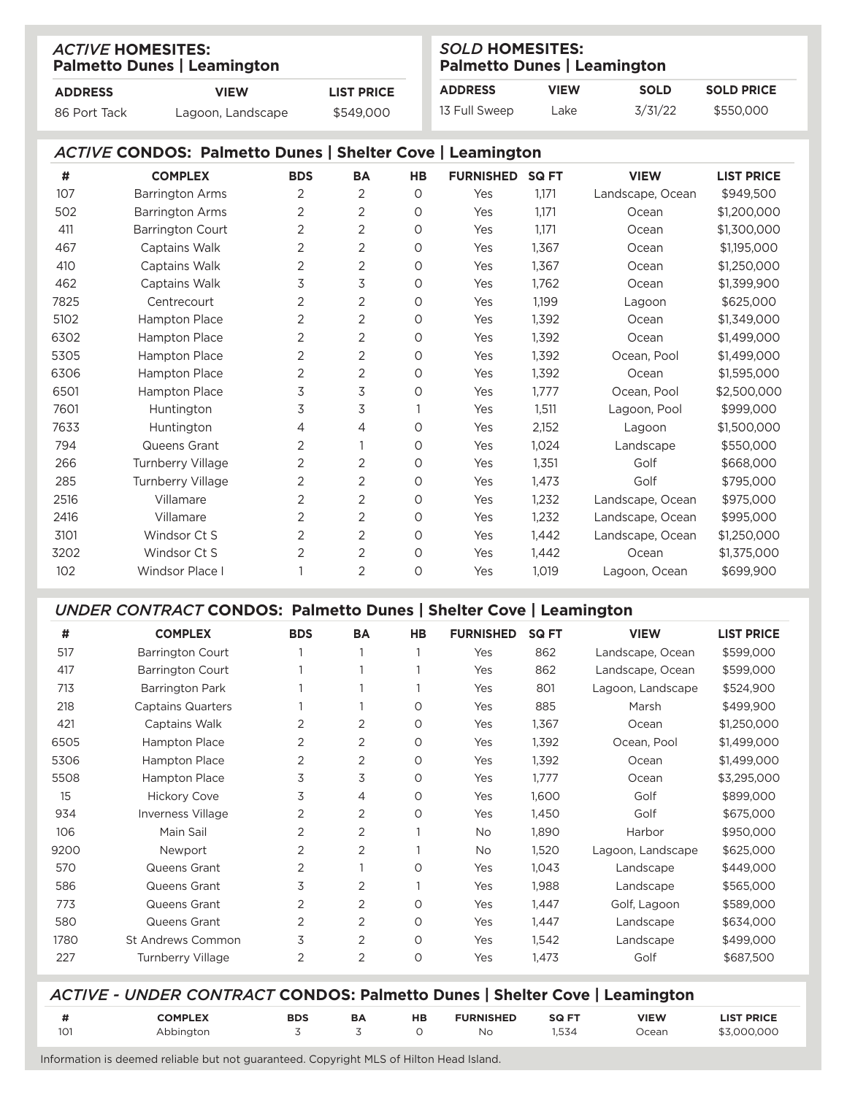|                | <b>ACTIVE HOMESITES:</b><br><b>Palmetto Dunes   Leamington</b>   |                |                   | <b>SOLD HOMESITES:</b><br><b>Palmetto Dunes   Leamington</b> |                  |              |                  |                   |
|----------------|------------------------------------------------------------------|----------------|-------------------|--------------------------------------------------------------|------------------|--------------|------------------|-------------------|
| <b>ADDRESS</b> | <b>VIEW</b>                                                      |                | <b>LIST PRICE</b> |                                                              | <b>ADDRESS</b>   | <b>VIEW</b>  | <b>SOLD</b>      | <b>SOLD PRICE</b> |
| 86 Port Tack   | Lagoon, Landscape                                                |                | \$549,000         |                                                              | 13 Full Sweep    | Lake         | 3/31/22          | \$550,000         |
|                | <b>ACTIVE CONDOS: Palmetto Dunes   Shelter Cove   Leamington</b> |                |                   |                                                              |                  |              |                  |                   |
| #              | <b>COMPLEX</b>                                                   | <b>BDS</b>     | <b>BA</b>         | <b>HB</b>                                                    | <b>FURNISHED</b> | <b>SQ FT</b> | <b>VIEW</b>      | <b>LIST PRICE</b> |
| 107            | <b>Barrington Arms</b>                                           | $\overline{2}$ | 2                 | $\circ$                                                      | Yes              | 1,171        | Landscape, Ocean | \$949,500         |
| 502            | <b>Barrington Arms</b>                                           | 2              | 2                 | O                                                            | Yes              | 1.171        | Ocean            | \$1,200,000       |
| 411            | <b>Barrington Court</b>                                          | $\overline{2}$ | $\overline{2}$    | $\circ$                                                      | Yes              | 1,171        | Ocean            | \$1,300,000       |
| 467            | Captains Walk                                                    | $\overline{2}$ | $\overline{2}$    | $\circ$                                                      | Yes              | 1,367        | Ocean            | \$1,195,000       |
| 410            | Captains Walk                                                    | $\overline{2}$ | $\overline{2}$    | $\circ$                                                      | Yes              | 1,367        | Ocean            | \$1,250,000       |
| 462            | Captains Walk                                                    | 3              | 3                 | $\circ$                                                      | Yes              | 1,762        | Ocean            | \$1,399,900       |
| 7825           | Centrecourt                                                      | $\overline{2}$ | $\overline{2}$    | $\circ$                                                      | Yes              | 1,199        | Lagoon           | \$625,000         |
| 5102           | Hampton Place                                                    | $\overline{2}$ | $\overline{2}$    | $\circ$                                                      | Yes              | 1,392        | Ocean            | \$1,349,000       |
| 6302           | Hampton Place                                                    | $\overline{2}$ | $\overline{2}$    | $\Omega$                                                     | Yes              | 1,392        | Ocean            | \$1,499,000       |
| 5305           | Hampton Place                                                    | $\overline{2}$ | $\overline{2}$    | $\circ$                                                      | Yes              | 1,392        | Ocean, Pool      | \$1,499,000       |
| 6306           | Hampton Place                                                    | $\overline{2}$ | $\overline{2}$    | $\circ$                                                      | Yes              | 1,392        | Ocean            | \$1,595,000       |
| 6501           | Hampton Place                                                    | 3              | 3                 | $\circ$                                                      | Yes              | 1.777        | Ocean, Pool      | \$2,500,000       |
| 7601           | Huntington                                                       | 3              | 3                 | $\mathbf{1}$                                                 | Yes              | 1,511        | Lagoon, Pool     | \$999,000         |
| 7633           | Huntington                                                       | $\overline{4}$ | 4                 | $\circ$                                                      | Yes              | 2,152        | Lagoon           | \$1,500,000       |
| 794            | Queens Grant                                                     | $\overline{2}$ | 1                 | $\circ$                                                      | Yes              | 1,024        | Landscape        | \$550,000         |
| 266            | Turnberry Village                                                | $\overline{2}$ | $\overline{2}$    | $\circ$                                                      | Yes              | 1,351        | Golf             | \$668,000         |
| 285            | <b>Turnberry Village</b>                                         | $\overline{2}$ | $\overline{2}$    | $\circ$                                                      | Yes              | 1,473        | Golf             | \$795,000         |
| 2516           | Villamare                                                        | $\overline{2}$ | $\overline{2}$    | $\circ$                                                      | Yes              | 1,232        | Landscape, Ocean | \$975,000         |
| 2416           | Villamare                                                        | $\overline{2}$ | $\overline{2}$    | $\circ$                                                      | Yes              | 1,232        | Landscape, Ocean | \$995,000         |
| 3101           | Windsor Ct S                                                     | $\overline{2}$ | $\overline{2}$    | $\circ$                                                      | Yes              | 1.442        | Landscape, Ocean | \$1,250,000       |
| 3202           | Windsor Ct S                                                     | $\overline{2}$ | $\overline{2}$    | $\circ$                                                      | Yes              | 1,442        | Ocean            | \$1,375,000       |
| 102            | Windsor Place I                                                  | $\mathbf{1}$   | $\overline{2}$    | $\Omega$                                                     | Yes              | 1,019        | Lagoon, Ocean    | \$699,900         |

*UNDER CONTRACT* **CONDOS: Palmetto Dunes | Shelter Cove | Leamington**

| #    | <b>COMPLEX</b>           | <b>BDS</b>     | <b>BA</b>      | <b>HB</b> | <b>FURNISHED</b> | <b>SQ FT</b> | <b>VIEW</b>       | <b>LIST PRICE</b> |
|------|--------------------------|----------------|----------------|-----------|------------------|--------------|-------------------|-------------------|
| 517  | <b>Barrington Court</b>  |                |                |           | Yes              | 862          | Landscape, Ocean  | \$599,000         |
| 417  | <b>Barrington Court</b>  |                |                |           | Yes              | 862          | Landscape, Ocean  | \$599,000         |
| 713  | Barrington Park          |                |                |           | Yes              | 801          | Lagoon, Landscape | \$524,900         |
| 218  | <b>Captains Quarters</b> |                |                | 0         | Yes              | 885          | Marsh             | \$499,900         |
| 421  | Captains Walk            | 2              | 2              | O         | Yes              | 1,367        | Ocean             | \$1,250,000       |
| 6505 | Hampton Place            | 2              | 2              | 0         | Yes              | 1,392        | Ocean, Pool       | \$1,499,000       |
| 5306 | Hampton Place            | 2              | $\overline{2}$ | O         | Yes              | 1,392        | Ocean             | \$1,499,000       |
| 5508 | Hampton Place            | 3              | 3              | $\circ$   | Yes              | 1,777        | Ocean             | \$3,295,000       |
| 15   | <b>Hickory Cove</b>      | 3              | $\overline{4}$ | $\circ$   | Yes              | 1,600        | Golf              | \$899,000         |
| 934  | Inverness Village        | 2              | $\overline{2}$ | $\circ$   | Yes              | 1,450        | Golf              | \$675,000         |
| 106  | Main Sail                | $\overline{2}$ | $\overline{2}$ |           | <b>No</b>        | 1,890        | Harbor            | \$950,000         |
| 9200 | Newport                  | 2              | $\overline{2}$ |           | No               | 1,520        | Lagoon, Landscape | \$625,000         |
| 570  | Queens Grant             | 2              |                | O         | Yes              | 1,043        | Landscape         | \$449,000         |
| 586  | Queens Grant             | 3              | 2              |           | Yes              | 1,988        | Landscape         | \$565,000         |
| 773  | Queens Grant             | 2              | $\overline{2}$ | O         | Yes              | 1,447        | Golf, Lagoon      | \$589,000         |
| 580  | Queens Grant             | 2              | $\overline{2}$ | $\circ$   | Yes              | 1,447        | Landscape         | \$634,000         |
| 1780 | <b>St Andrews Common</b> | 3              | $\overline{2}$ | $\circ$   | Yes              | 1,542        | Landscape         | \$499,000         |
| 227  | Turnberry Village        | $\overline{2}$ | 2              | $\circ$   | Yes              | 1,473        | Golf              | \$687,500         |

| ACTIVE - UNDER CONTRACT CONDOS: Palmetto Dunes   Shelter Cove   Leamington |                |            |    |    |                  |       |             |                   |  |  |  |
|----------------------------------------------------------------------------|----------------|------------|----|----|------------------|-------|-------------|-------------------|--|--|--|
|                                                                            | <b>COMPLEX</b> | <b>BDS</b> | BA | HВ | <b>FURNISHED</b> | SQ FT | <b>VIEW</b> | <b>LIST PRICE</b> |  |  |  |
| 101                                                                        | Abbinaton      |            |    |    | No.              | 1.534 | Ocean       | \$3,000,000       |  |  |  |

Information is deemed reliable but not guaranteed. Copyright MLS of Hilton Head Island.

í Ξ